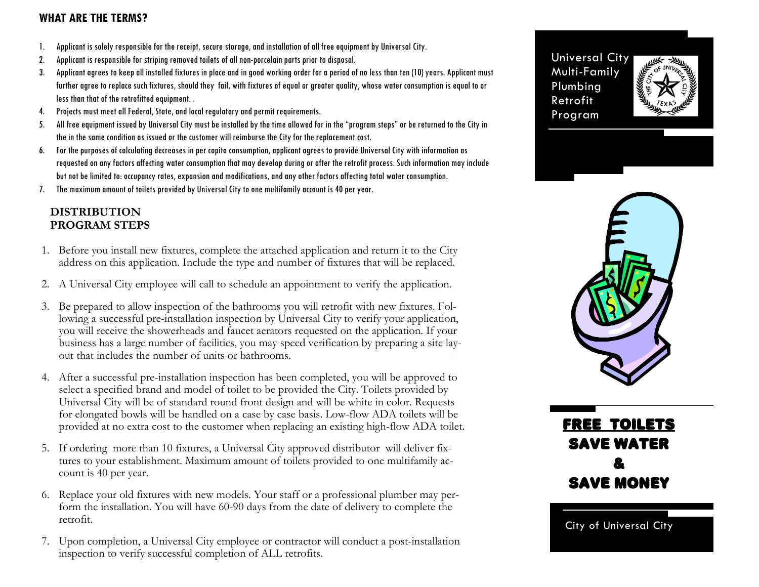### **WHAT ARE THE TERMS?**

- 1. Applicant is solely responsible for the receipt, secure storage, and installation of all free equipment by Universal City.
- 2. Applicant is responsible for striping removed toilets of all non-porcelain parts prior to disposal.
- 3. Applicant agrees to keep all installed fixtures in place and in good working order for a period of no less than ten (10) years. Applicant must further agree to replace such fixtures, should they fail, with fixtures of equal or greater quality, whose water consumption is equal to or less than that of the retrofitted equipment. .
- 4. Projects must meet all Federal, State, and local regulatory and permit requirements.
- 5. All free equipment issued by Universal City must be installed by the time allowed for in the "program steps" or be returned to the City in the in the same condition as issued or the customer will reimburse the City for the replacement cost.
- 6. For the purposes of calculating decreases in per capita consumption, applicant agrees to provide Universal City with information as requested on any factors affecting water consumption that may develop during or after the retrofit process. Such information may include but not be limited to: occupancy rates, expansion and modifications, and any other factors affecting total water consumption.
- 7. The maximum amount of toilets provided by Universal City to one multifamily account is 40 per year.

### **DISTRIBUTION PROGRAM STEPS**

- 1. Before you install new fixtures, complete the attached application and return it to the City address on this application. Include the type and number of fixtures that will be replaced.
- 2. A Universal City employee will call to schedule an appointment to verify the application.
- 3. Be prepared to allow inspection of the bathrooms you will retrofit with new fixtures. Following a successful pre-installation inspection by Universal City to verify your application, you will receive the showerheads and faucet aerators requested on the application. If your business has a large number of facilities, you may speed verification by preparing a site layout that includes the number of units or bathrooms.
- 4. After a successful pre-installation inspection has been completed, you will be approved to select a specified brand and model of toilet to be provided the City. Toilets provided by Universal City will be of standard round front design and will be white in color. Requests for elongated bowls will be handled on a case by case basis. Low-flow ADA toilets will be provided at no extra cost to the customer when replacing an existing high-flow ADA toilet.
- 5. If ordering more than 10 fixtures, a Universal City approved distributor will deliver fixtures to your establishment. Maximum amount of toilets provided to one multifamily account is 40 per year.
- 6. Replace your old fixtures with new models. Your staff or a professional plumber may perform the installation. You will have 60-90 days from the date of delivery to complete the retrofit.
- 7. Upon completion, a Universal City employee or contractor will conduct a post-installation inspection to verify successful completion of ALL retrofits.

Universal City Multi-Family Plumbing Retrofit Program





Free toilets Save Water & Save money

City of Universal City